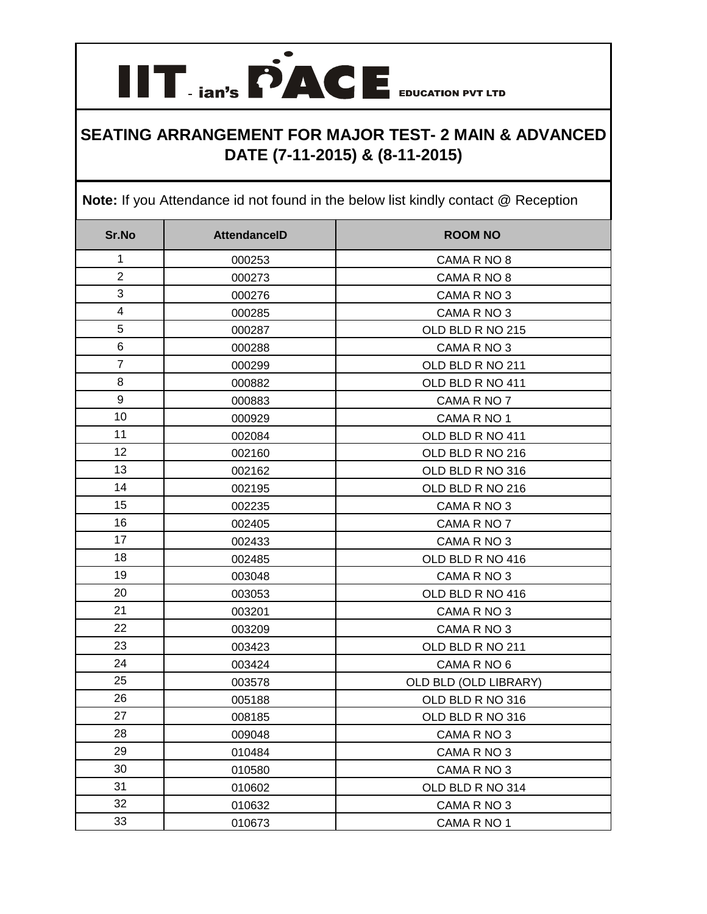# **IIT . ian's PACE** EDUCATION PVT LTD

#### **SEATING ARRANGEMENT FOR MAJOR TEST- 2 MAIN & ADVANCED DATE (7-11-2015) & (8-11-2015)**

**Note:** If you Attendance id not found in the below list kindly contact @ Reception

| Sr.No          | <b>AttendanceID</b> | <b>ROOM NO</b>        |
|----------------|---------------------|-----------------------|
| $\mathbf{1}$   | 000253              | CAMA R NO 8           |
| $\overline{2}$ | 000273              | CAMA R NO 8           |
| 3              | 000276              | CAMA R NO 3           |
| 4              | 000285              | CAMA R NO 3           |
| 5              | 000287              | OLD BLD R NO 215      |
| 6              | 000288              | CAMA R NO 3           |
| $\overline{7}$ | 000299              | OLD BLD R NO 211      |
| 8              | 000882              | OLD BLD R NO 411      |
| 9              | 000883              | CAMA R NO 7           |
| 10             | 000929              | CAMA R NO 1           |
| 11             | 002084              | OLD BLD R NO 411      |
| 12             | 002160              | OLD BLD R NO 216      |
| 13             | 002162              | OLD BLD R NO 316      |
| 14             | 002195              | OLD BLD R NO 216      |
| 15             | 002235              | CAMA R NO 3           |
| 16             | 002405              | CAMA R NO 7           |
| 17             | 002433              | CAMA R NO 3           |
| 18             | 002485              | OLD BLD R NO 416      |
| 19             | 003048              | CAMA R NO 3           |
| 20             | 003053              | OLD BLD R NO 416      |
| 21             | 003201              | CAMA R NO 3           |
| 22             | 003209              | CAMA R NO 3           |
| 23             | 003423              | OLD BLD R NO 211      |
| 24             | 003424              | CAMA R NO 6           |
| 25             | 003578              | OLD BLD (OLD LIBRARY) |
| 26             | 005188              | OLD BLD R NO 316      |
| 27             | 008185              | OLD BLD R NO 316      |
| 28             | 009048              | CAMA R NO 3           |
| 29             | 010484              | CAMA R NO 3           |
| 30             | 010580              | CAMA R NO 3           |
| 31             | 010602              | OLD BLD R NO 314      |
| 32             | 010632              | CAMA R NO 3           |
| 33             | 010673              | CAMA R NO 1           |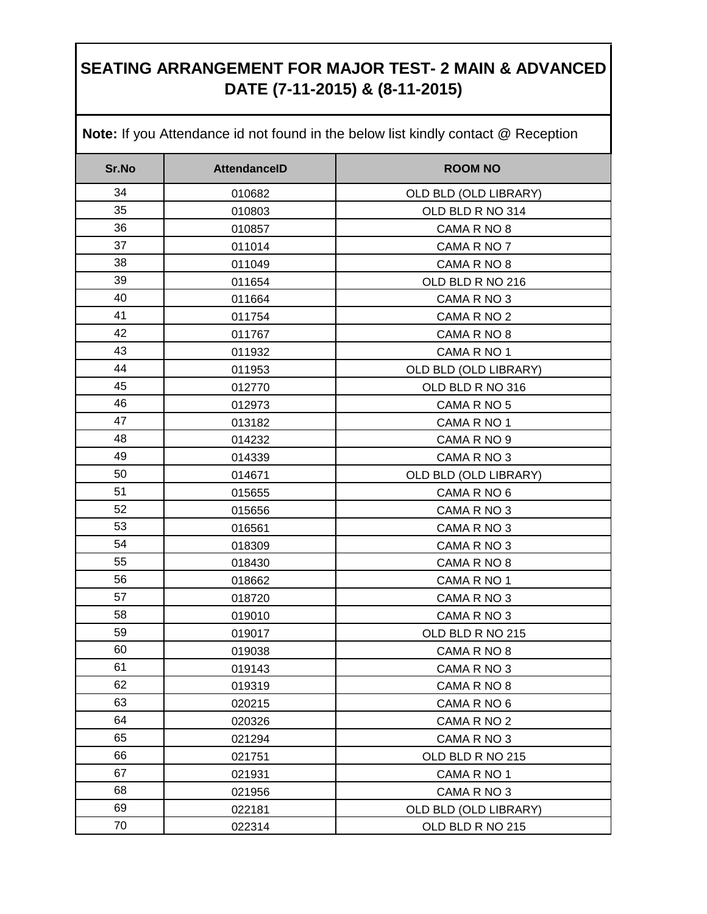|    | <b>AttendanceID</b> | <b>ROOM NO</b>        |
|----|---------------------|-----------------------|
| 34 | 010682              | OLD BLD (OLD LIBRARY) |
| 35 | 010803              | OLD BLD R NO 314      |
| 36 | 010857              | CAMA R NO 8           |
| 37 | 011014              | CAMA R NO 7           |
| 38 | 011049              | CAMA R NO 8           |
| 39 | 011654              | OLD BLD R NO 216      |
| 40 | 011664              | CAMA R NO 3           |
| 41 | 011754              | CAMA R NO 2           |
| 42 | 011767              | CAMA R NO 8           |
| 43 | 011932              | CAMA R NO 1           |
| 44 | 011953              | OLD BLD (OLD LIBRARY) |
| 45 | 012770              | OLD BLD R NO 316      |
| 46 | 012973              | CAMA R NO 5           |
| 47 | 013182              | CAMA R NO 1           |
| 48 | 014232              | CAMA R NO 9           |
| 49 | 014339              | CAMA R NO 3           |
| 50 | 014671              | OLD BLD (OLD LIBRARY) |
| 51 | 015655              | CAMA R NO 6           |
| 52 | 015656              | CAMA R NO 3           |
| 53 | 016561              | CAMA R NO 3           |
| 54 | 018309              | CAMA R NO 3           |
| 55 | 018430              | CAMA R NO 8           |
| 56 | 018662              | CAMA R NO 1           |
| 57 | 018720              | CAMA R NO 3           |
| 58 | 019010              | CAMA R NO 3           |
| 59 | 019017              | OLD BLD R NO 215      |
| 60 | 019038              | CAMA R NO 8           |
| 61 | 019143              | CAMA R NO 3           |
| 62 | 019319              | CAMA R NO 8           |
| 63 | 020215              | CAMA R NO 6           |
| 64 | 020326              | CAMA R NO 2           |
| 65 | 021294              | CAMA R NO 3           |
| 66 | 021751              | OLD BLD R NO 215      |
| 67 | 021931              | CAMA R NO 1           |
| 68 | 021956              | CAMA R NO 3           |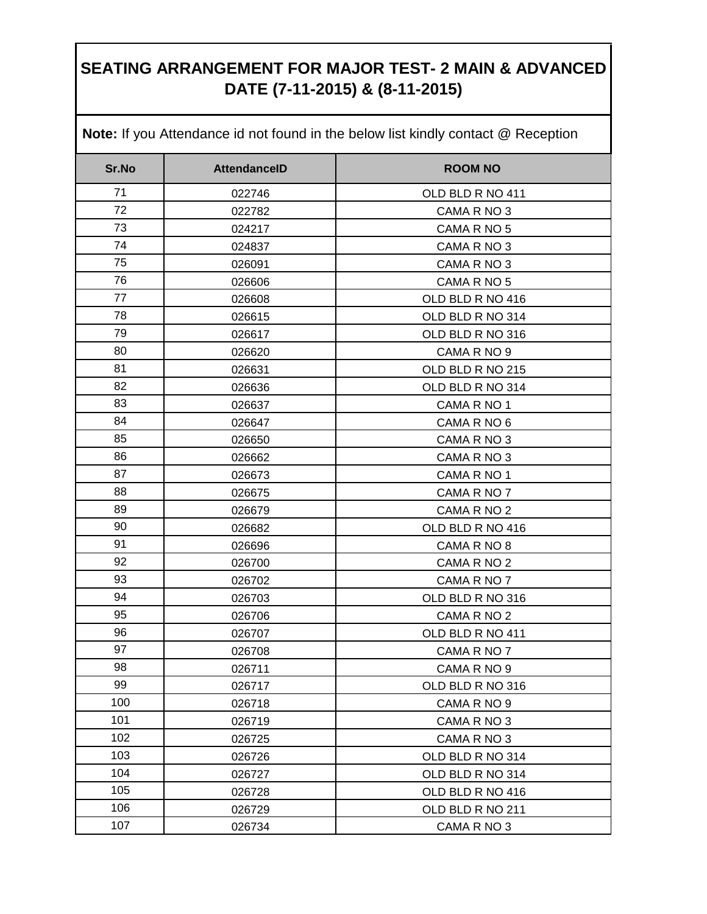|       | Note: If you Attendance id not found in the below list kindly contact @ Reception |                  |  |
|-------|-----------------------------------------------------------------------------------|------------------|--|
| Sr.No | <b>AttendanceID</b>                                                               | <b>ROOM NO</b>   |  |
| 71    | 022746                                                                            | OLD BLD R NO 411 |  |
| 72    | 022782                                                                            | CAMA R NO 3      |  |
| 73    | 024217                                                                            | CAMA R NO 5      |  |
| 74    | 024837                                                                            | CAMA R NO 3      |  |
| 75    | 026091                                                                            | CAMA R NO 3      |  |
| 76    | 026606                                                                            | CAMA R NO 5      |  |
| 77    | 026608                                                                            | OLD BLD R NO 416 |  |
| 78    | 026615                                                                            | OLD BLD R NO 314 |  |
| 79    | 026617                                                                            | OLD BLD R NO 316 |  |
| 80    | 026620                                                                            | CAMA R NO 9      |  |
| 81    | 026631                                                                            | OLD BLD R NO 215 |  |
| 82    | 026636                                                                            | OLD BLD R NO 314 |  |
| 83    | 026637                                                                            | CAMA R NO 1      |  |
| 84    | 026647                                                                            | CAMA R NO 6      |  |
| 85    | 026650                                                                            | CAMA R NO 3      |  |
| 86    | 026662                                                                            | CAMA R NO 3      |  |
| 87    | 026673                                                                            | CAMA R NO 1      |  |
| 88    | 026675                                                                            | CAMA R NO 7      |  |
| 89    | 026679                                                                            | CAMA R NO 2      |  |
| 90    | 026682                                                                            | OLD BLD R NO 416 |  |
| 91    | 026696                                                                            | CAMA R NO 8      |  |
| 92    | 026700                                                                            | CAMA R NO 2      |  |
| 93    | 026702                                                                            | CAMA R NO 7      |  |
| 94    | 026703                                                                            | OLD BLD R NO 316 |  |
| 95    | 026706                                                                            | CAMA R NO 2      |  |
| 96    | 026707                                                                            | OLD BLD R NO 411 |  |
| 97    | 026708                                                                            | CAMA R NO 7      |  |
| 98    | 026711                                                                            | CAMA R NO 9      |  |
| 99    | 026717                                                                            | OLD BLD R NO 316 |  |
| 100   | 026718                                                                            | CAMA R NO 9      |  |
| 101   | 026719                                                                            | CAMA R NO 3      |  |
| 102   | 026725                                                                            | CAMA R NO 3      |  |
| 103   | 026726                                                                            | OLD BLD R NO 314 |  |
| 104   | 026727                                                                            | OLD BLD R NO 314 |  |
| 105   | 026728                                                                            | OLD BLD R NO 416 |  |
| 106   | 026729                                                                            | OLD BLD R NO 211 |  |
| 107   | 026734                                                                            | CAMA R NO 3      |  |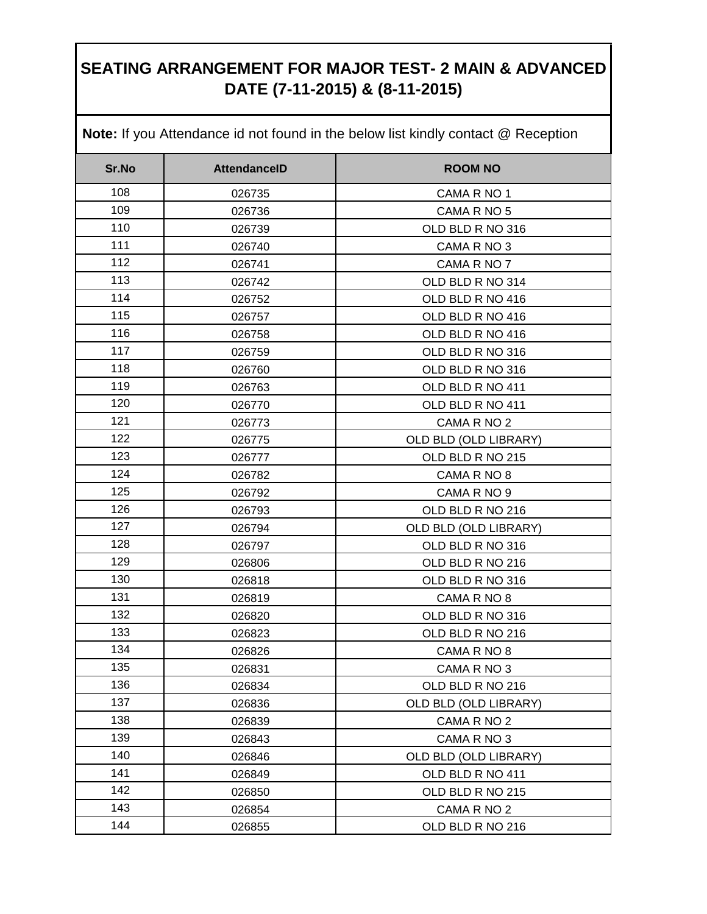| <b>Note:</b> If you Attendance id not found in the below list kindly contact @ Reception |                     |                       |
|------------------------------------------------------------------------------------------|---------------------|-----------------------|
| Sr.No                                                                                    | <b>AttendanceID</b> | <b>ROOM NO</b>        |
| 108                                                                                      | 026735              | CAMA R NO 1           |
| 109                                                                                      | 026736              | CAMA R NO 5           |
| 110                                                                                      | 026739              | OLD BLD R NO 316      |
| 111                                                                                      | 026740              | CAMA R NO 3           |
| 112                                                                                      | 026741              | CAMA R NO 7           |
| 113                                                                                      | 026742              | OLD BLD R NO 314      |
| 114                                                                                      | 026752              | OLD BLD R NO 416      |
| 115                                                                                      | 026757              | OLD BLD R NO 416      |
| 116                                                                                      | 026758              | OLD BLD R NO 416      |
| 117                                                                                      | 026759              | OLD BLD R NO 316      |
| 118                                                                                      | 026760              | OLD BLD R NO 316      |
| 119                                                                                      | 026763              | OLD BLD R NO 411      |
| 120                                                                                      | 026770              | OLD BLD R NO 411      |
| 121                                                                                      | 026773              | CAMA R NO 2           |
| 122                                                                                      | 026775              | OLD BLD (OLD LIBRARY) |
| 123                                                                                      | 026777              | OLD BLD R NO 215      |
| 124                                                                                      | 026782              | CAMA R NO 8           |
| 125                                                                                      | 026792              | CAMA R NO 9           |
| 126                                                                                      | 026793              | OLD BLD R NO 216      |
| 127                                                                                      | 026794              | OLD BLD (OLD LIBRARY) |
| 128                                                                                      | 026797              | OLD BLD R NO 316      |
| 129                                                                                      | 026806              | OLD BLD R NO 216      |
| 130                                                                                      | 026818              | OLD BLD R NO 316      |
| 131                                                                                      | 026819              | CAMA R NO 8           |
| 132                                                                                      | 026820              | OLD BLD R NO 316      |
| 133                                                                                      | 026823              | OLD BLD R NO 216      |
| 134                                                                                      | 026826              | CAMA R NO 8           |
| 135                                                                                      | 026831              | CAMA R NO 3           |
| 136                                                                                      | 026834              | OLD BLD R NO 216      |
| 137                                                                                      | 026836              | OLD BLD (OLD LIBRARY) |
| 138                                                                                      | 026839              | CAMA R NO 2           |
| 139                                                                                      | 026843              | CAMA R NO 3           |
| 140                                                                                      | 026846              | OLD BLD (OLD LIBRARY) |
| 141                                                                                      | 026849              | OLD BLD R NO 411      |
| 142                                                                                      | 026850              | OLD BLD R NO 215      |
| 143                                                                                      | 026854              | CAMA R NO 2           |
| 144                                                                                      | 026855              | OLD BLD R NO 216      |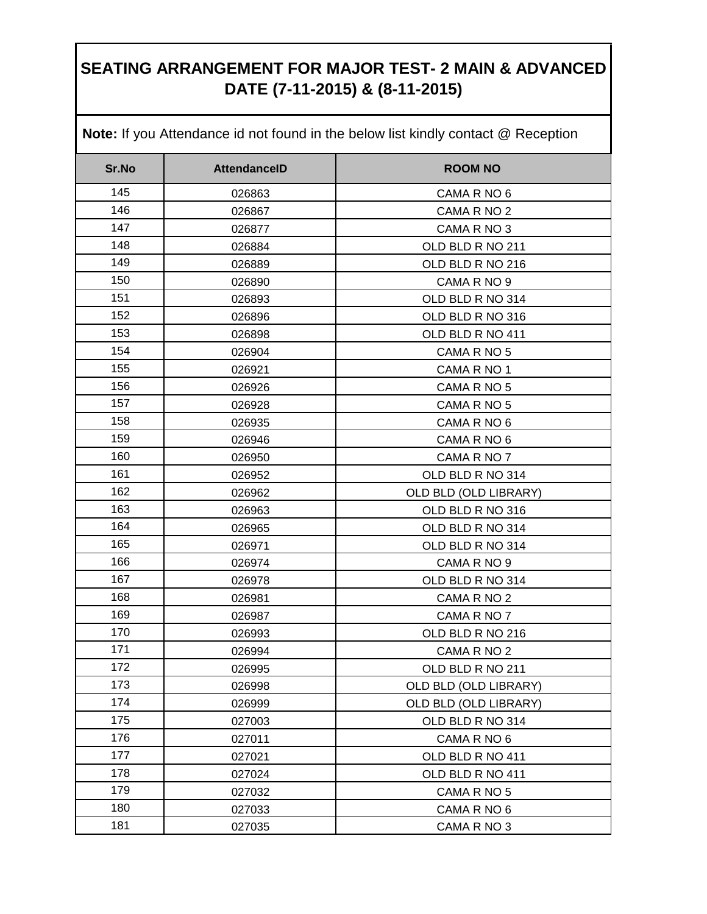| Sr.No | <b>AttendanceID</b> | <b>ROOM NO</b>        |
|-------|---------------------|-----------------------|
| 145   | 026863              | CAMA R NO 6           |
| 146   | 026867              | CAMA R NO 2           |
| 147   | 026877              | CAMA R NO 3           |
| 148   | 026884              | OLD BLD R NO 211      |
| 149   | 026889              | OLD BLD R NO 216      |
| 150   | 026890              | CAMA R NO 9           |
| 151   | 026893              | OLD BLD R NO 314      |
| 152   | 026896              | OLD BLD R NO 316      |
| 153   | 026898              | OLD BLD R NO 411      |
| 154   | 026904              | CAMA R NO 5           |
| 155   | 026921              | CAMA R NO 1           |
| 156   | 026926              | CAMA R NO 5           |
| 157   | 026928              | CAMA R NO 5           |
| 158   | 026935              | CAMA R NO 6           |
| 159   | 026946              | CAMA R NO 6           |
| 160   | 026950              | CAMA R NO 7           |
| 161   | 026952              | OLD BLD R NO 314      |
| 162   | 026962              | OLD BLD (OLD LIBRARY) |
| 163   | 026963              | OLD BLD R NO 316      |
| 164   | 026965              | OLD BLD R NO 314      |
| 165   | 026971              | OLD BLD R NO 314      |
| 166   | 026974              | CAMA R NO 9           |
| 167   | 026978              | OLD BLD R NO 314      |
| 168   | 026981              | CAMA R NO 2           |
| 169   | 026987              | CAMA R NO 7           |
| 170   | 026993              | OLD BLD R NO 216      |
| 171   | 026994              | CAMA R NO 2           |
| 172   | 026995              | OLD BLD R NO 211      |
| 173   | 026998              | OLD BLD (OLD LIBRARY) |
| 174   | 026999              | OLD BLD (OLD LIBRARY) |
| 175   | 027003              | OLD BLD R NO 314      |
| 176   | 027011              | CAMA R NO 6           |
| 177   | 027021              | OLD BLD R NO 411      |
| 178   | 027024              | OLD BLD R NO 411      |
| 179   | 027032              | CAMA R NO 5           |
| 180   | 027033              | CAMA R NO 6           |
| 181   | 027035              | CAMA R NO 3           |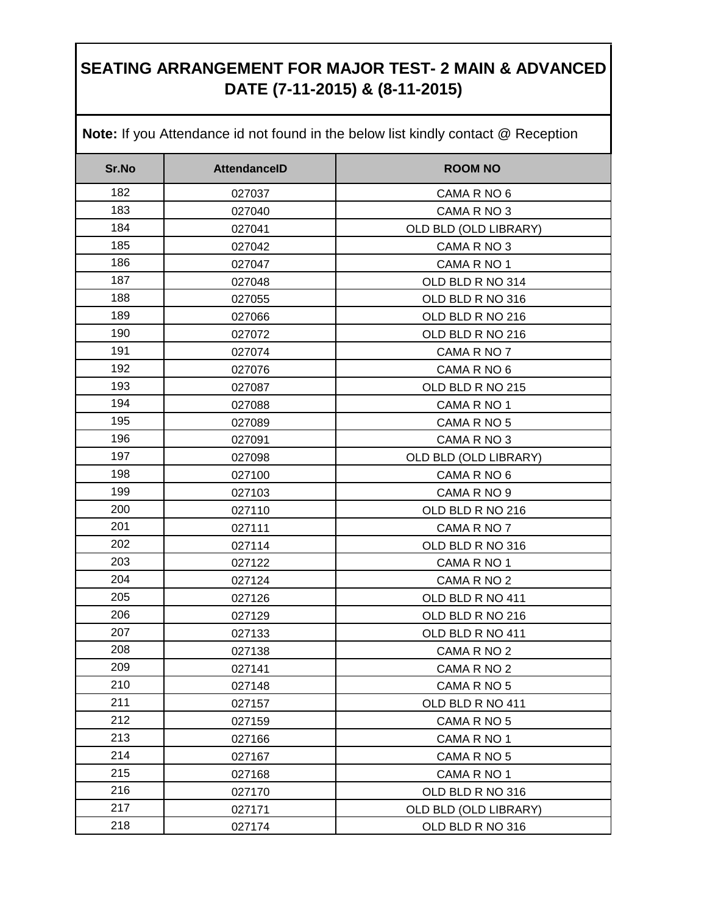| Sr.No      | <b>AttendanceID</b> | <b>ROOM NO</b>                            |
|------------|---------------------|-------------------------------------------|
| 182        | 027037              | CAMA R NO 6                               |
| 183        | 027040              | CAMA R NO 3                               |
| 184        | 027041              | OLD BLD (OLD LIBRARY)                     |
| 185        | 027042              | CAMA R NO 3                               |
| 186        | 027047              | CAMA R NO 1                               |
| 187        | 027048              | OLD BLD R NO 314                          |
| 188        | 027055              | OLD BLD R NO 316                          |
| 189        | 027066              | OLD BLD R NO 216                          |
| 190        | 027072              | OLD BLD R NO 216                          |
| 191        | 027074              | CAMA R NO 7                               |
| 192        | 027076              | CAMA R NO 6                               |
| 193        | 027087              | OLD BLD R NO 215                          |
| 194        | 027088              | CAMA R NO 1                               |
| 195        | 027089              | CAMA R NO 5                               |
| 196        | 027091              | CAMA R NO 3                               |
| 197        | 027098              | OLD BLD (OLD LIBRARY)                     |
| 198        | 027100              | CAMA R NO 6                               |
| 199        | 027103              | CAMA R NO 9                               |
| 200        | 027110              | OLD BLD R NO 216                          |
| 201        | 027111              | CAMA R NO 7                               |
| 202        | 027114              | OLD BLD R NO 316                          |
| 203        | 027122              | CAMA R NO 1                               |
| 204        | 027124              | CAMA R NO 2                               |
| 205        | 027126              | OLD BLD R NO 411                          |
| 206        | 027129              | OLD BLD R NO 216                          |
| 207        | 027133              | OLD BLD R NO 411                          |
| 208        | 027138              | CAMA R NO 2                               |
| 209        | 027141              | CAMA R NO 2                               |
| 210        | 027148              | CAMA R NO 5                               |
| 211        | 027157              | OLD BLD R NO 411                          |
| 212        | 027159              | CAMA R NO 5                               |
| 213        | 027166              | CAMA R NO 1                               |
| 214        | 027167              | CAMA R NO 5                               |
| 215        | 027168              | CAMA R NO 1                               |
| 216        | 027170              | OLD BLD R NO 316                          |
| 217<br>218 | 027171<br>027174    | OLD BLD (OLD LIBRARY)<br>OLD BLD R NO 316 |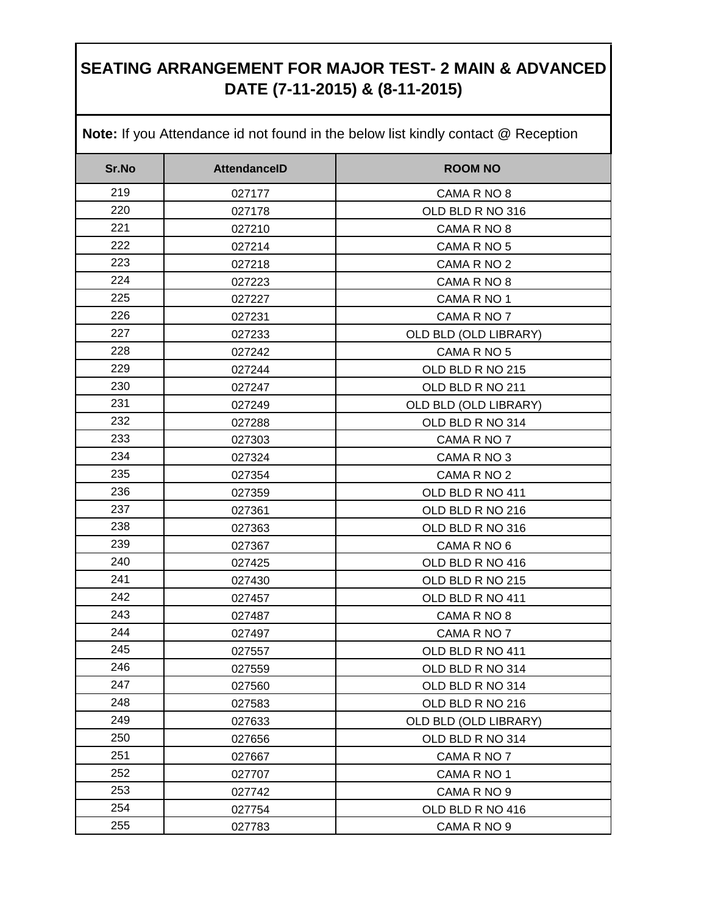| Sr.No | <b>AttendanceID</b> | <b>ROOM NO</b>        |
|-------|---------------------|-----------------------|
| 219   | 027177              | CAMA R NO 8           |
| 220   | 027178              | OLD BLD R NO 316      |
| 221   | 027210              | CAMA R NO 8           |
| 222   | 027214              | CAMA R NO 5           |
| 223   | 027218              | CAMA R NO 2           |
| 224   | 027223              | CAMA R NO 8           |
| 225   | 027227              | CAMA R NO 1           |
| 226   | 027231              | CAMA R NO 7           |
| 227   | 027233              | OLD BLD (OLD LIBRARY) |
| 228   | 027242              | CAMA R NO 5           |
| 229   | 027244              | OLD BLD R NO 215      |
| 230   | 027247              | OLD BLD R NO 211      |
| 231   | 027249              | OLD BLD (OLD LIBRARY) |
| 232   | 027288              | OLD BLD R NO 314      |
| 233   | 027303              | CAMA R NO 7           |
| 234   | 027324              | CAMA R NO 3           |
| 235   | 027354              | CAMA R NO 2           |
| 236   | 027359              | OLD BLD R NO 411      |
| 237   | 027361              | OLD BLD R NO 216      |
| 238   | 027363              | OLD BLD R NO 316      |
| 239   | 027367              | CAMA R NO 6           |
| 240   | 027425              | OLD BLD R NO 416      |
| 241   | 027430              | OLD BLD R NO 215      |
| 242   | 027457              | OLD BLD R NO 411      |
| 243   | 027487              | CAMA R NO 8           |
| 244   | 027497              | CAMA R NO 7           |
| 245   | 027557              | OLD BLD R NO 411      |
| 246   | 027559              | OLD BLD R NO 314      |
| 247   | 027560              | OLD BLD R NO 314      |
| 248   | 027583              | OLD BLD R NO 216      |
| 249   | 027633              | OLD BLD (OLD LIBRARY) |
| 250   | 027656              | OLD BLD R NO 314      |
| 251   | 027667              | CAMA R NO 7           |
| 252   | 027707              | CAMA R NO 1           |
| 253   | 027742              | CAMA R NO 9           |
| 254   | 027754              | OLD BLD R NO 416      |
| 255   | 027783              | CAMA R NO 9           |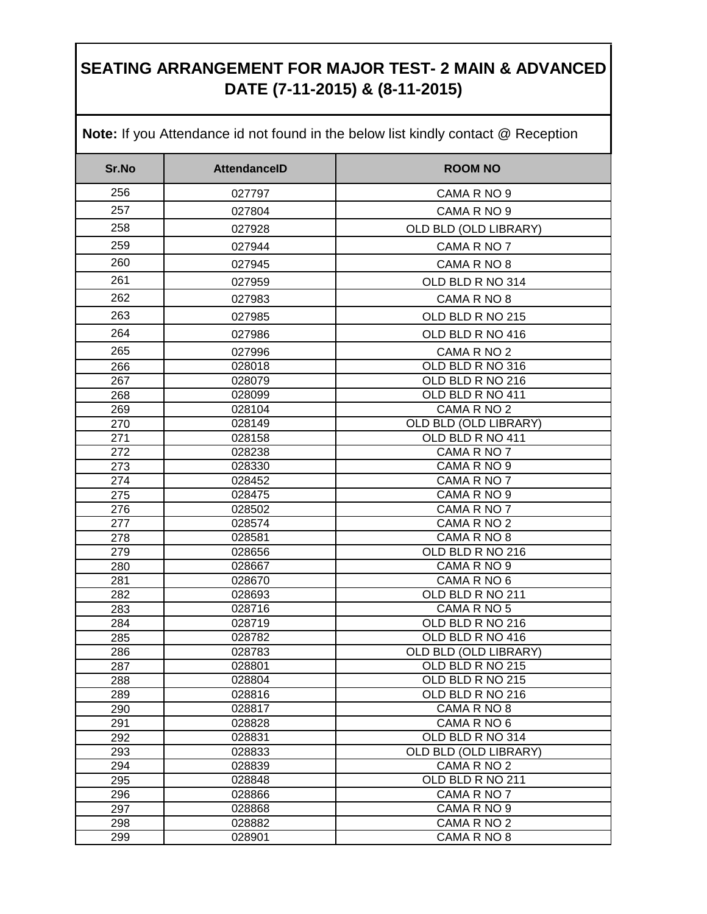| Sr.No | <b>AttendanceID</b> | <b>ROOM NO</b>        |
|-------|---------------------|-----------------------|
| 256   | 027797              | CAMA R NO 9           |
| 257   | 027804              | CAMA R NO 9           |
| 258   | 027928              | OLD BLD (OLD LIBRARY) |
| 259   | 027944              | CAMA R NO 7           |
| 260   | 027945              | CAMA R NO 8           |
| 261   | 027959              | OLD BLD R NO 314      |
| 262   |                     |                       |
|       | 027983              | CAMA R NO 8           |
| 263   | 027985              | OLD BLD R NO 215      |
| 264   | 027986              | OLD BLD R NO 416      |
| 265   | 027996              | CAMA R NO 2           |
| 266   | 028018              | OLD BLD R NO 316      |
| 267   | 028079              | OLD BLD R NO 216      |
| 268   | 028099              | OLD BLD R NO 411      |
| 269   | 028104              | CAMA R NO 2           |
| 270   | 028149              | OLD BLD (OLD LIBRARY) |
| 271   | 028158              | OLD BLD R NO 411      |
| 272   | 028238              | CAMA R NO 7           |
| 273   | 028330              | CAMA R NO 9           |
| 274   | 028452              | CAMA R NO 7           |
| 275   | 028475              | CAMA R NO 9           |
| 276   | 028502              | CAMA R NO 7           |
| 277   | 028574              | CAMA R NO 2           |
| 278   | 028581              | CAMA R NO 8           |
| 279   | 028656              | OLD BLD R NO 216      |
| 280   | 028667              | CAMA R NO 9           |
| 281   | 028670              | CAMA R NO 6           |
| 282   | 028693              | OLD BLD R NO 211      |
| 283   | 028716              | CAMA R NO 5           |
| 284   | 028719              | OLD BLD R NO 216      |
| 285   | 028782              | OLD BLD R NO 416      |
| 286   | 028783              | OLD BLD (OLD LIBRARY) |
| 287   | 028801              | OLD BLD R NO 215      |
| 288   | 028804              | OLD BLD R NO 215      |
| 289   | 028816              | OLD BLD R NO 216      |
| 290   | 028817              | CAMA R NO 8           |
| 291   | 028828              | CAMA R NO 6           |
| 292   | 028831              | OLD BLD R NO 314      |
| 293   | 028833              | OLD BLD (OLD LIBRARY) |
| 294   | 028839              | CAMA R NO 2           |
| 295   | 028848              | OLD BLD R NO 211      |
| 296   | 028866              | CAMA R NO 7           |
| 297   | 028868              | CAMA R NO 9           |
| 298   | 028882              | CAMA R NO 2           |
| 299   | 028901              | CAMA R NO 8           |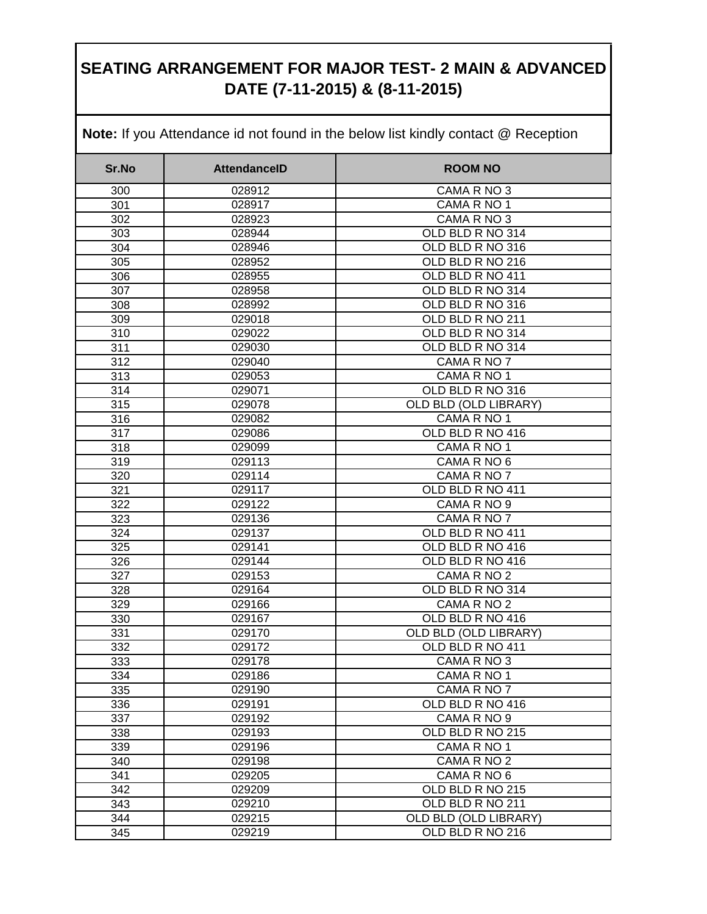|       | <b>Note:</b> If you Attendance id not found in the below list kindly contact @ Reception |                       |  |
|-------|------------------------------------------------------------------------------------------|-----------------------|--|
| Sr.No | <b>AttendanceID</b>                                                                      | <b>ROOM NO</b>        |  |
| 300   | 028912                                                                                   | CAMA R NO 3           |  |
| 301   | 028917                                                                                   | CAMA R NO 1           |  |
| 302   | 028923                                                                                   | CAMA R NO 3           |  |
| 303   | 028944                                                                                   | OLD BLD R NO 314      |  |
| 304   | 028946                                                                                   | OLD BLD R NO 316      |  |
| 305   | 028952                                                                                   | OLD BLD R NO 216      |  |
| 306   | 028955                                                                                   | OLD BLD R NO 411      |  |
| 307   | 028958                                                                                   | OLD BLD R NO 314      |  |
| 308   | 028992                                                                                   | OLD BLD R NO 316      |  |
| 309   | 029018                                                                                   | OLD BLD R NO 211      |  |
| 310   | 029022                                                                                   | OLD BLD R NO 314      |  |
| 311   | 029030                                                                                   | OLD BLD R NO 314      |  |
| 312   | 029040                                                                                   | CAMA R NO 7           |  |
| 313   | 029053                                                                                   | CAMA R NO 1           |  |
| 314   | 029071                                                                                   | OLD BLD R NO 316      |  |
| 315   | 029078                                                                                   | OLD BLD (OLD LIBRARY) |  |
| 316   | 029082                                                                                   | CAMA R NO 1           |  |
| 317   | 029086                                                                                   | OLD BLD R NO 416      |  |
| 318   | 029099                                                                                   | CAMA R NO 1           |  |
| 319   | 029113                                                                                   | CAMA R NO 6           |  |
| 320   | 029114                                                                                   | CAMA R NO 7           |  |
| 321   | 029117                                                                                   | OLD BLD R NO 411      |  |
| 322   | 029122                                                                                   | CAMA R NO 9           |  |
| 323   | 029136                                                                                   | CAMA R NO 7           |  |
| 324   | 029137                                                                                   | OLD BLD R NO 411      |  |
| 325   | 029141                                                                                   | OLD BLD R NO 416      |  |
| 326   | 029144                                                                                   | OLD BLD R NO 416      |  |
| 327   | 029153                                                                                   | CAMA R NO 2           |  |
| 328   | 029164                                                                                   | OLD BLD R NO 314      |  |
| 329   | 029166                                                                                   | CAMA R NO 2           |  |
| 330   | 029167                                                                                   | OLD BLD R NO 416      |  |
| 331   | 029170                                                                                   | OLD BLD (OLD LIBRARY) |  |
| 332   | 029172                                                                                   | OLD BLD R NO 411      |  |
| 333   | 029178                                                                                   | CAMA R NO 3           |  |
| 334   | 029186                                                                                   | CAMA R NO 1           |  |
| 335   | 029190                                                                                   | CAMA R NO 7           |  |
| 336   | 029191                                                                                   | OLD BLD R NO 416      |  |
| 337   | 029192                                                                                   | CAMA R NO 9           |  |
| 338   | 029193                                                                                   | OLD BLD R NO 215      |  |
| 339   | 029196                                                                                   | CAMA R NO 1           |  |
| 340   | 029198                                                                                   | CAMA R NO 2           |  |
| 341   | 029205                                                                                   | CAMA R NO 6           |  |
| 342   | 029209                                                                                   | OLD BLD R NO 215      |  |
| 343   | 029210                                                                                   | OLD BLD R NO 211      |  |
| 344   | 029215                                                                                   | OLD BLD (OLD LIBRARY) |  |
| 345   | 029219                                                                                   | OLD BLD R NO 216      |  |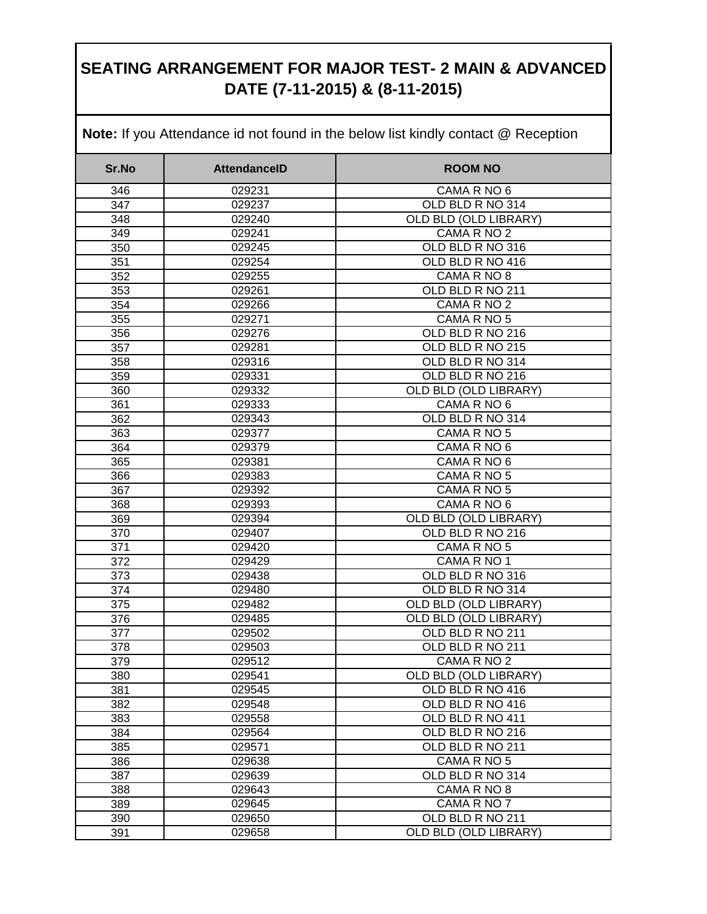|       | <b>Note:</b> If you Attendance id not found in the below list kindly contact @ Reception |                              |  |
|-------|------------------------------------------------------------------------------------------|------------------------------|--|
| Sr.No | <b>AttendanceID</b>                                                                      | <b>ROOM NO</b>               |  |
| 346   | 029231                                                                                   | CAMA R NO 6                  |  |
| 347   | 029237                                                                                   | OLD BLD R NO 314             |  |
| 348   | 029240                                                                                   | OLD BLD (OLD LIBRARY)        |  |
| 349   | 029241                                                                                   | CAMA R NO 2                  |  |
| 350   | 029245                                                                                   | OLD BLD R NO 316             |  |
| 351   | 029254                                                                                   | OLD BLD R NO 416             |  |
| 352   | 029255                                                                                   | CAMA R NO 8                  |  |
| 353   | 029261                                                                                   | OLD BLD R NO 211             |  |
| 354   | 029266                                                                                   | CAMA R NO 2                  |  |
| 355   | 029271                                                                                   | CAMA R NO 5                  |  |
| 356   | 029276                                                                                   | OLD BLD R NO 216             |  |
| 357   | 029281                                                                                   | OLD BLD R NO 215             |  |
| 358   | 029316                                                                                   | OLD BLD R NO 314             |  |
| 359   | 029331                                                                                   | OLD BLD R NO 216             |  |
| 360   | 029332                                                                                   | OLD BLD (OLD LIBRARY)        |  |
| 361   | 029333                                                                                   | CAMA R NO 6                  |  |
| 362   | 029343                                                                                   | OLD BLD R NO 314             |  |
| 363   | 029377                                                                                   | CAMA R NO 5                  |  |
| 364   | 029379                                                                                   | CAMA R NO 6                  |  |
| 365   | 029381                                                                                   | CAMA R NO 6                  |  |
| 366   | 029383                                                                                   | CAMA R NO 5                  |  |
| 367   | 029392                                                                                   | CAMA R NO 5                  |  |
| 368   | 029393                                                                                   | CAMA R NO 6                  |  |
| 369   | 029394                                                                                   | OLD BLD (OLD LIBRARY)        |  |
| 370   | 029407                                                                                   | OLD BLD R NO 216             |  |
| 371   | 029420                                                                                   | CAMA R NO 5                  |  |
| 372   | 029429                                                                                   | CAMA R NO 1                  |  |
| 373   | 029438                                                                                   | OLD BLD R NO 316             |  |
| 374   | 029480                                                                                   | OLD BLD R NO 314             |  |
| 375   | 029482                                                                                   | <b>OLD BLD (OLD LIBRARY)</b> |  |
| 376   | 029485                                                                                   | <b>OLD BLD (OLD LIBRARY)</b> |  |
| 377   | 029502                                                                                   | OLD BLD R NO 211             |  |
| 378   | 029503                                                                                   | OLD BLD R NO 211             |  |
| 379   | 029512                                                                                   | CAMA R NO 2                  |  |
| 380   | 029541                                                                                   | OLD BLD (OLD LIBRARY)        |  |
| 381   | 029545                                                                                   | OLD BLD R NO 416             |  |
| 382   | 029548                                                                                   | OLD BLD R NO 416             |  |
| 383   | 029558                                                                                   | OLD BLD R NO 411             |  |
| 384   | 029564                                                                                   | OLD BLD R NO 216             |  |
| 385   | 029571                                                                                   | OLD BLD R NO 211             |  |
| 386   | 029638                                                                                   | CAMA R NO 5                  |  |
| 387   | 029639                                                                                   | OLD BLD R NO 314             |  |
| 388   | 029643                                                                                   | CAMA R NO 8                  |  |
| 389   | 029645                                                                                   | CAMA R NO 7                  |  |
| 390   | 029650                                                                                   | OLD BLD R NO 211             |  |
| 391   | 029658                                                                                   | OLD BLD (OLD LIBRARY)        |  |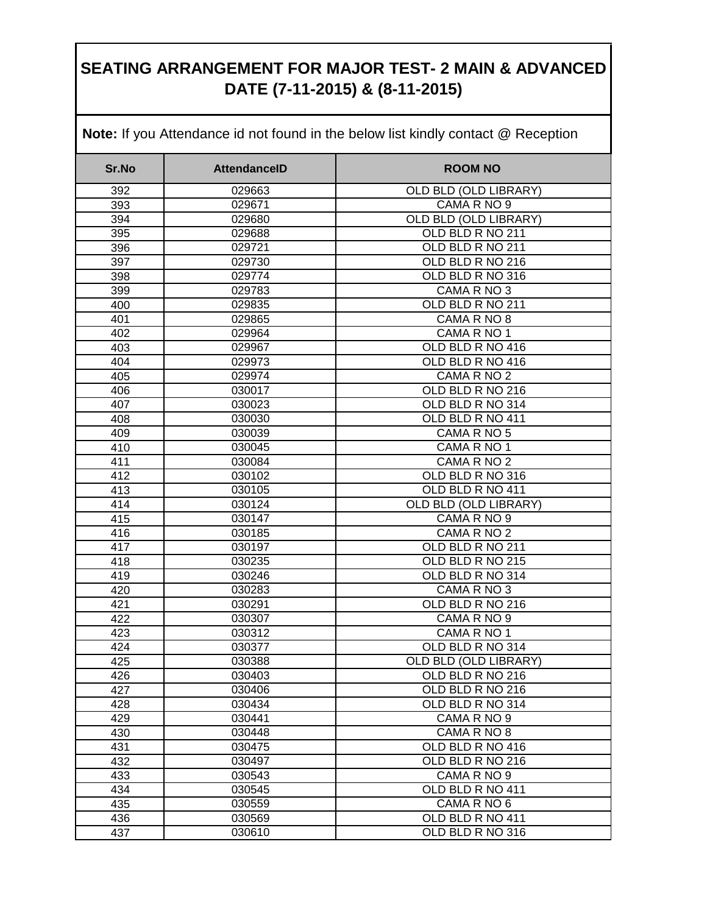| Sr.No      | <b>AttendanceID</b> | <b>ROOM NO</b>                       |
|------------|---------------------|--------------------------------------|
| 392        | 029663              | OLD BLD (OLD LIBRARY)                |
| 393        | 029671              | CAMA R NO 9                          |
| 394        | 029680              | <b>OLD BLD (OLD LIBRARY)</b>         |
| 395        | 029688              | OLD BLD R NO 211                     |
| 396        | 029721              | OLD BLD R NO 211                     |
| 397        | 029730              | OLD BLD R NO 216                     |
| 398        | 029774              | OLD BLD R NO 316                     |
| 399        | 029783              | CAMA R NO 3                          |
| 400        | 029835              | OLD BLD R NO 211                     |
| 401        | 029865              | CAMA R NO 8                          |
| 402        | 029964              | CAMA R NO 1                          |
| 403        | 029967              | OLD BLD R NO 416                     |
| 404        | 029973              | OLD BLD R NO 416                     |
| 405        | 029974              | CAMA R NO 2                          |
| 406        | 030017              | OLD BLD R NO 216                     |
| 407        | 030023              | OLD BLD R NO 314                     |
| 408        | 030030              | OLD BLD R NO 411                     |
| 409        | 030039              | CAMA R NO 5                          |
| 410        | 030045              | CAMA R NO 1                          |
| 411        | 030084              | CAMA R NO 2                          |
| 412        | 030102              | OLD BLD R NO 316                     |
| 413        | 030105              | OLD BLD R NO 411                     |
| 414        | 030124              | OLD BLD (OLD LIBRARY)                |
| 415        | 030147              | CAMA R NO 9                          |
| 416        | 030185              | CAMA R NO 2                          |
| 417        | 030197              | OLD BLD R NO 211                     |
| 418        | 030235              | OLD BLD R NO 215                     |
| 419        | 030246              | OLD BLD R NO 314                     |
| 420        | 030283              | CAMA R NO 3                          |
| 421        | 030291              | OLD BLD R NO 216                     |
| 422        | 030307              | CAMA R NO 9                          |
| 423        | 030312              | CAMA R NO 1                          |
| 424        | 030377              | OLD BLD R NO 314                     |
| 425        | 030388              | OLD BLD (OLD LIBRARY)                |
| 426        | 030403              | OLD BLD R NO 216                     |
| 427        | 030406              | OLD BLD R NO 216                     |
| 428        | 030434              | OLD BLD R NO 314                     |
| 429        | 030441              | CAMA R NO 9                          |
| 430        | 030448              | CAMA R NO 8                          |
| 431        | 030475              | OLD BLD R NO 416                     |
| 432        | 030497              | OLD BLD R NO 216                     |
| 433        | 030543              | CAMA R NO 9                          |
| 434        | 030545              | OLD BLD R NO 411                     |
| 435        | 030559              | CAMA R NO 6                          |
| 436<br>437 | 030569<br>030610    | OLD BLD R NO 411<br>OLD BLD R NO 316 |
|            |                     |                                      |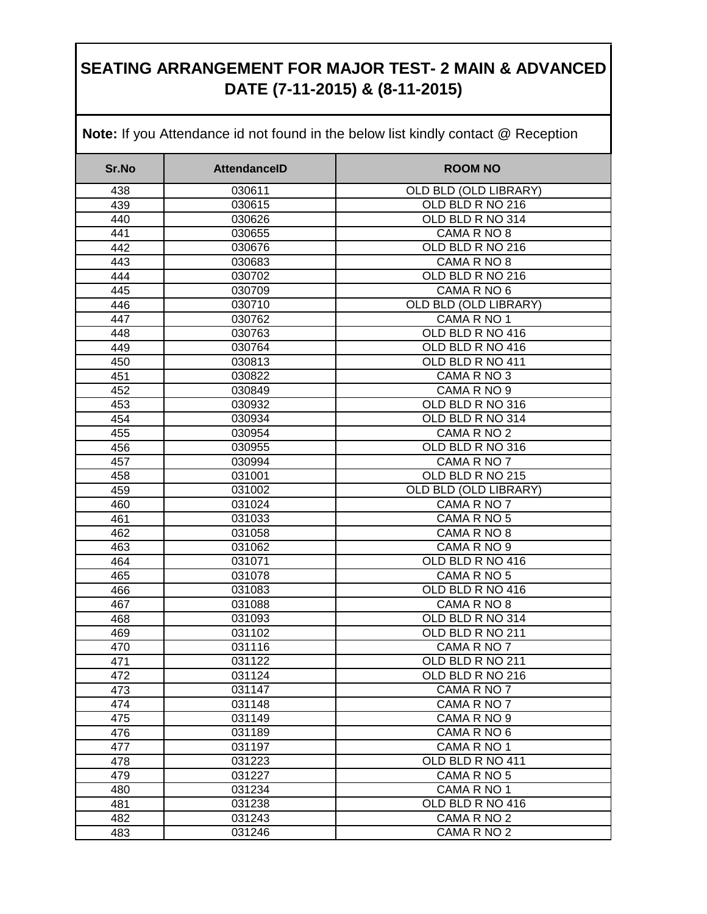| Sr.No | <b>AttendanceID</b> | <b>ROOM NO</b>        |
|-------|---------------------|-----------------------|
| 438   | 030611              | OLD BLD (OLD LIBRARY) |
| 439   | 030615              | OLD BLD R NO 216      |
| 440   | 030626              | OLD BLD R NO 314      |
| 441   | 030655              | CAMA R NO 8           |
| 442   | 030676              | OLD BLD R NO 216      |
| 443   | 030683              | CAMA R NO 8           |
| 444   | 030702              | OLD BLD R NO 216      |
| 445   | 030709              | CAMA R NO 6           |
| 446   | 030710              | OLD BLD (OLD LIBRARY) |
| 447   | 030762              | CAMA R NO 1           |
| 448   | 030763              | OLD BLD R NO 416      |
| 449   | 030764              | OLD BLD R NO 416      |
| 450   | 030813              | OLD BLD R NO 411      |
| 451   | 030822              | CAMA R NO 3           |
| 452   | 030849              | CAMA R NO 9           |
| 453   | 030932              | OLD BLD R NO 316      |
| 454   | 030934              | OLD BLD R NO 314      |
| 455   | 030954              | CAMA R NO 2           |
| 456   | 030955              | OLD BLD R NO 316      |
| 457   | 030994              | CAMA R NO 7           |
| 458   | 031001              | OLD BLD R NO 215      |
| 459   | 031002              | OLD BLD (OLD LIBRARY) |
| 460   | 031024              | CAMA R NO 7           |
| 461   | 031033              | CAMA R NO 5           |
| 462   | 031058              | CAMA R NO 8           |
| 463   | 031062              | CAMA R NO 9           |
| 464   | 031071              | OLD BLD R NO 416      |
| 465   | 031078              | CAMA R NO 5           |
| 466   | 031083              | OLD BLD R NO 416      |
| 467   | 031088              | CAMA R NO 8           |
| 468   | 031093              | OLD BLD R NO 314      |
| 469   | 031102              | OLD BLD R NO 211      |
| 470   | 031116              | CAMA R NO 7           |
| 471   | 031122              | OLD BLD R NO 211      |
| 472   | 031124              | OLD BLD R NO 216      |
| 473   | 031147              | CAMA R NO 7           |
| 474   | 031148              | CAMA R NO 7           |
| 475   | 031149              | CAMA R NO 9           |
| 476   | 031189              | CAMA R NO 6           |
| 477   | 031197              | CAMA R NO 1           |
| 478   | 031223              | OLD BLD R NO 411      |
| 479   | 031227              | CAMA R NO 5           |
| 480   | 031234              | CAMA R NO 1           |
| 481   | 031238              | OLD BLD R NO 416      |
| 482   | 031243              | CAMA R NO 2           |
| 483   | 031246              | CAMA R NO 2           |

**Note:** If you Attendance id not found in the below list kindly contact @ Reception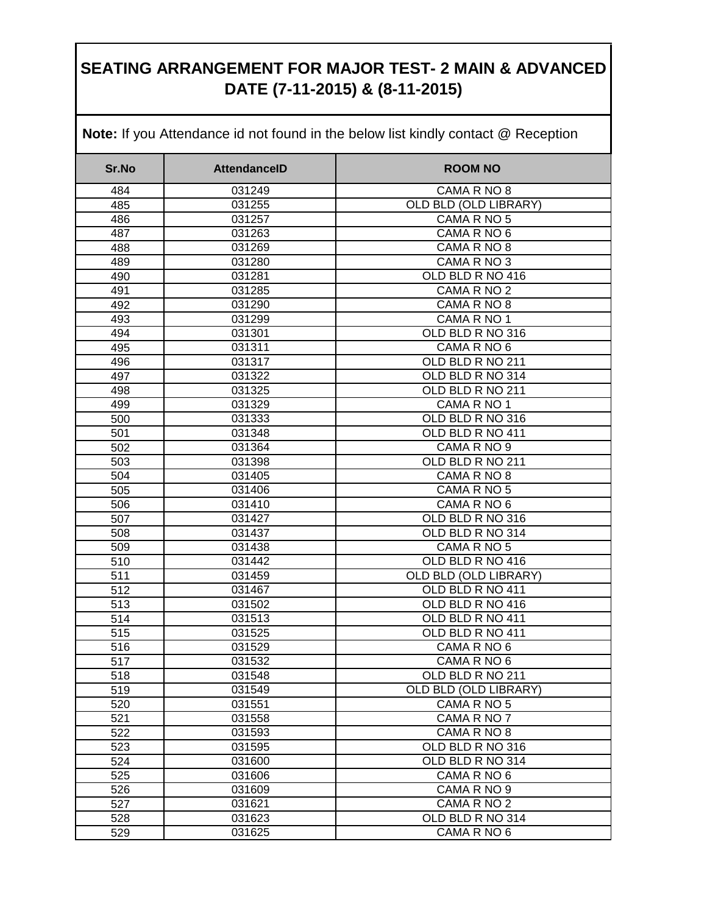|       | <b>Note:</b> If you Attendance id not found in the below list kindly contact @ Reception |                       |
|-------|------------------------------------------------------------------------------------------|-----------------------|
| Sr.No | <b>AttendanceID</b>                                                                      | <b>ROOM NO</b>        |
| 484   | 031249                                                                                   | CAMA R NO 8           |
| 485   | 031255                                                                                   | OLD BLD (OLD LIBRARY) |
| 486   | 031257                                                                                   | CAMA R NO 5           |
| 487   | 031263                                                                                   | CAMA R NO 6           |
| 488   | 031269                                                                                   | CAMA R NO 8           |
| 489   | 031280                                                                                   | CAMA R NO 3           |
| 490   | 031281                                                                                   | OLD BLD R NO 416      |
| 491   | 031285                                                                                   | CAMA R NO 2           |
| 492   | 031290                                                                                   | CAMA R NO 8           |
| 493   | 031299                                                                                   | CAMA R NO 1           |
| 494   | 031301                                                                                   | OLD BLD R NO 316      |
| 495   | 031311                                                                                   | CAMA R NO 6           |
| 496   | 031317                                                                                   | OLD BLD R NO 211      |
| 497   | 031322                                                                                   | OLD BLD R NO 314      |
| 498   | 031325                                                                                   | OLD BLD R NO 211      |
| 499   | 031329                                                                                   | CAMA R NO 1           |
| 500   | 031333                                                                                   | OLD BLD R NO 316      |
| 501   | 031348                                                                                   | OLD BLD R NO 411      |
| 502   | 031364                                                                                   | CAMA R NO 9           |
| 503   | 031398                                                                                   | OLD BLD R NO 211      |
| 504   | 031405                                                                                   | CAMA R NO 8           |
| 505   | 031406                                                                                   | CAMA R NO 5           |
| 506   | 031410                                                                                   | CAMA R NO 6           |
| 507   | 031427                                                                                   | OLD BLD R NO 316      |
| 508   | 031437                                                                                   | OLD BLD R NO 314      |
| 509   | 031438                                                                                   | CAMA R NO 5           |
| 510   | 031442                                                                                   | OLD BLD R NO 416      |
| 511   | 031459                                                                                   | OLD BLD (OLD LIBRARY) |
| 512   | 031467                                                                                   | OLD BLD R NO 411      |
| 513   | 031502                                                                                   | OLD BLD R NO 416      |
| 514   | 031513                                                                                   | OLD BLD R NO 411      |
| 515   | 031525                                                                                   | OLD BLD R NO 411      |
| 516   | 031529                                                                                   | CAMA R NO 6           |
| 517   | 031532                                                                                   | CAMA R NO 6           |
| 518   | 031548                                                                                   | OLD BLD R NO 211      |
| 519   | 031549                                                                                   | OLD BLD (OLD LIBRARY) |
| 520   | 031551                                                                                   | CAMA R NO 5           |
| 521   | 031558                                                                                   | CAMA R NO 7           |
| 522   | 031593                                                                                   | CAMA R NO 8           |
| 523   | 031595                                                                                   | OLD BLD R NO 316      |
| 524   | 031600                                                                                   | OLD BLD R NO 314      |
| 525   | 031606                                                                                   | CAMA R NO 6           |
| 526   | 031609                                                                                   | CAMA R NO 9           |
| 527   | 031621                                                                                   | CAMA R NO 2           |
| 528   | 031623                                                                                   | OLD BLD R NO 314      |
| 529   | 031625                                                                                   | CAMA R NO 6           |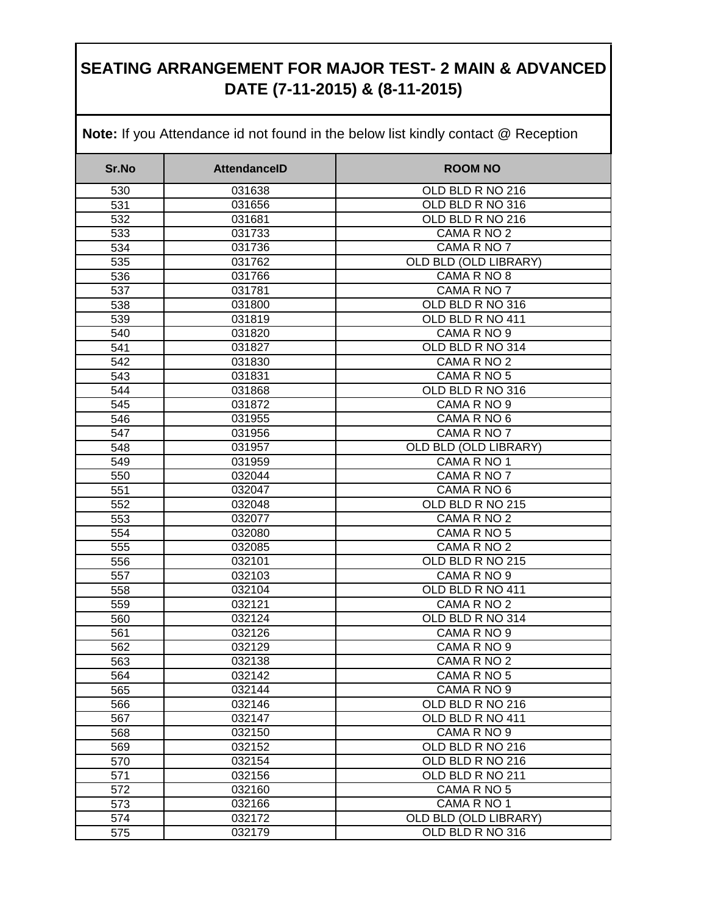|       | <b>Note:</b> If you Attendance id not found in the below list kindly contact @ Reception |                       |
|-------|------------------------------------------------------------------------------------------|-----------------------|
| Sr.No | <b>AttendanceID</b>                                                                      | <b>ROOM NO</b>        |
| 530   | 031638                                                                                   | OLD BLD R NO 216      |
| 531   | 031656                                                                                   | OLD BLD R NO 316      |
| 532   | 031681                                                                                   | OLD BLD R NO 216      |
| 533   | 031733                                                                                   | CAMA R NO 2           |
| 534   | 031736                                                                                   | CAMA R NO 7           |
| 535   | 031762                                                                                   | OLD BLD (OLD LIBRARY) |
| 536   | 031766                                                                                   | CAMA R NO 8           |
| 537   | 031781                                                                                   | CAMA R NO 7           |
| 538   | 031800                                                                                   | OLD BLD R NO 316      |
| 539   | 031819                                                                                   | OLD BLD R NO 411      |
| 540   | 031820                                                                                   | CAMA R NO 9           |
| 541   | 031827                                                                                   | OLD BLD R NO 314      |
| 542   | 031830                                                                                   | CAMA R NO 2           |
| 543   | 031831                                                                                   | CAMA R NO 5           |
| 544   | 031868                                                                                   | OLD BLD R NO 316      |
| 545   | 031872                                                                                   | CAMA R NO 9           |
| 546   | 031955                                                                                   | CAMA R NO 6           |
| 547   | 031956                                                                                   | CAMA R NO 7           |
| 548   | 031957                                                                                   | OLD BLD (OLD LIBRARY) |
| 549   | 031959                                                                                   | CAMA R NO 1           |
| 550   | 032044                                                                                   | CAMA R NO 7           |
| 551   | 032047                                                                                   | CAMA R NO 6           |
| 552   | 032048                                                                                   | OLD BLD R NO 215      |
| 553   | 032077                                                                                   | CAMA R NO 2           |
| 554   | 032080                                                                                   | CAMA R NO 5           |
| 555   | 032085                                                                                   | CAMA R NO 2           |
| 556   | 032101                                                                                   | OLD BLD R NO 215      |
| 557   | 032103                                                                                   | CAMA R NO 9           |
| 558   | 032104                                                                                   | OLD BLD R NO 411      |
| 559   | 032121                                                                                   | CAMA R NO 2           |
| 560   | 032124                                                                                   | OLD BLD R NO 314      |
| 561   | 032126                                                                                   | CAMA R NO 9           |
| 562   | 032129                                                                                   | CAMA R NO 9           |
| 563   | 032138                                                                                   | CAMA R NO 2           |
| 564   | 032142                                                                                   | CAMA R NO 5           |
| 565   | 032144                                                                                   | CAMA R NO 9           |
| 566   | 032146                                                                                   | OLD BLD R NO 216      |
| 567   | 032147                                                                                   | OLD BLD R NO 411      |
| 568   | 032150                                                                                   | CAMA R NO 9           |
| 569   | 032152                                                                                   | OLD BLD R NO 216      |
| 570   | 032154                                                                                   | OLD BLD R NO 216      |
| 571   | 032156                                                                                   | OLD BLD R NO 211      |
| 572   | 032160                                                                                   | CAMA R NO 5           |
| 573   | 032166                                                                                   | CAMA R NO 1           |
| 574   | 032172                                                                                   | OLD BLD (OLD LIBRARY) |
| 575   | 032179                                                                                   | OLD BLD R NO 316      |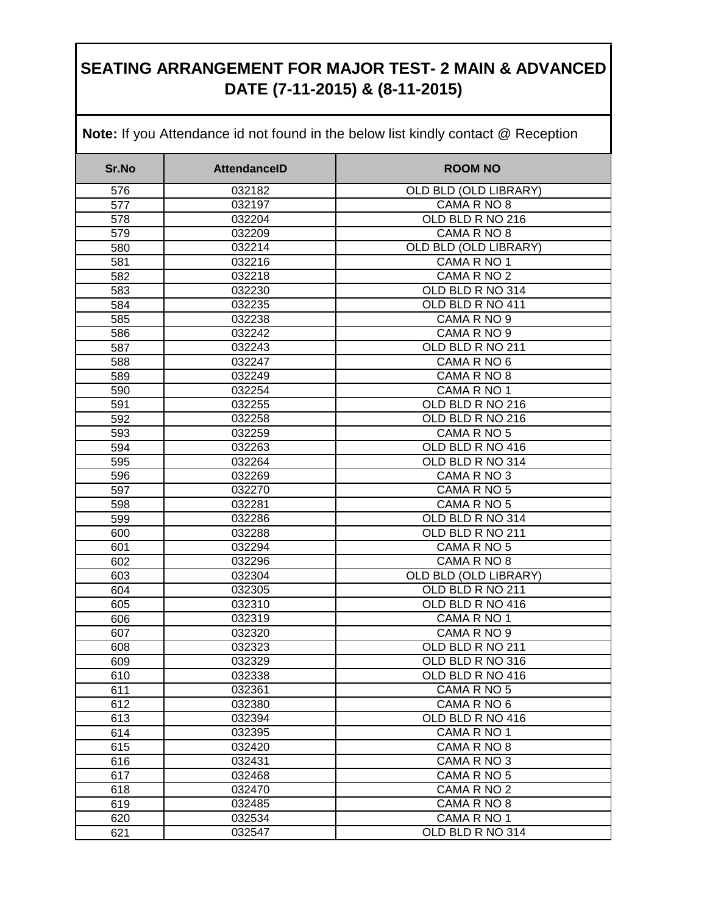| Sr.No | <b>AttendanceID</b> | <b>ROOM NO</b>               |
|-------|---------------------|------------------------------|
| 576   | 032182              | OLD BLD (OLD LIBRARY)        |
| 577   | 032197              | CAMA R NO 8                  |
| 578   | 032204              | OLD BLD R NO 216             |
| 579   | 032209              | CAMA R NO 8                  |
| 580   | 032214              | <b>OLD BLD (OLD LIBRARY)</b> |
| 581   | 032216              | CAMA R NO 1                  |
| 582   | 032218              | CAMA R NO 2                  |
| 583   | 032230              | OLD BLD R NO 314             |
| 584   | 032235              | OLD BLD R NO 411             |
| 585   | 032238              | CAMA R NO 9                  |
| 586   | 032242              | CAMA R NO 9                  |
| 587   | 032243              | OLD BLD R NO 211             |
| 588   | 032247              | CAMA R NO 6                  |
| 589   | 032249              | CAMA R NO 8                  |
| 590   | 032254              | CAMA R NO 1                  |
| 591   | 032255              | OLD BLD R NO 216             |
| 592   | 032258              | OLD BLD R NO 216             |
| 593   | 032259              | CAMA R NO 5                  |
| 594   | 032263              | OLD BLD R NO 416             |
| 595   | 032264              | OLD BLD R NO 314             |
| 596   | 032269              | CAMA R NO 3                  |
| 597   | 032270              | CAMA R NO 5                  |
| 598   | 032281              | CAMA R NO 5                  |
| 599   | 032286              | OLD BLD R NO 314             |
| 600   | 032288              | OLD BLD R NO 211             |
| 601   | 032294              | CAMA R NO 5                  |
| 602   | 032296              | CAMA R NO 8                  |
| 603   | 032304              | OLD BLD (OLD LIBRARY)        |
| 604   | 032305              | OLD BLD R NO 211             |
| 605   | 032310              | OLD BLD R NO 416             |
| 606   | 032319              | CAMA R NO 1                  |
| 607   | 032320              | CAMA R NO 9                  |
| 608   | 032323              | OLD BLD R NO 211             |
| 609   | 032329              | OLD BLD R NO 316             |
| 610   | 032338              | OLD BLD R NO 416             |
| 611   | 032361              | CAMA R NO 5                  |
| 612   | 032380              | CAMA R NO 6                  |
| 613   | 032394              | OLD BLD R NO 416             |
| 614   | 032395              | CAMA R NO 1                  |
| 615   | 032420              | CAMA R NO 8                  |
| 616   | 032431              | CAMA R NO 3                  |
| 617   | 032468              | CAMA R NO 5                  |
| 618   | 032470              | CAMA R NO 2                  |
| 619   | 032485              | CAMA R NO 8                  |
| 620   | 032534              | CAMA R NO 1                  |
| 621   | 032547              | OLD BLD R NO 314             |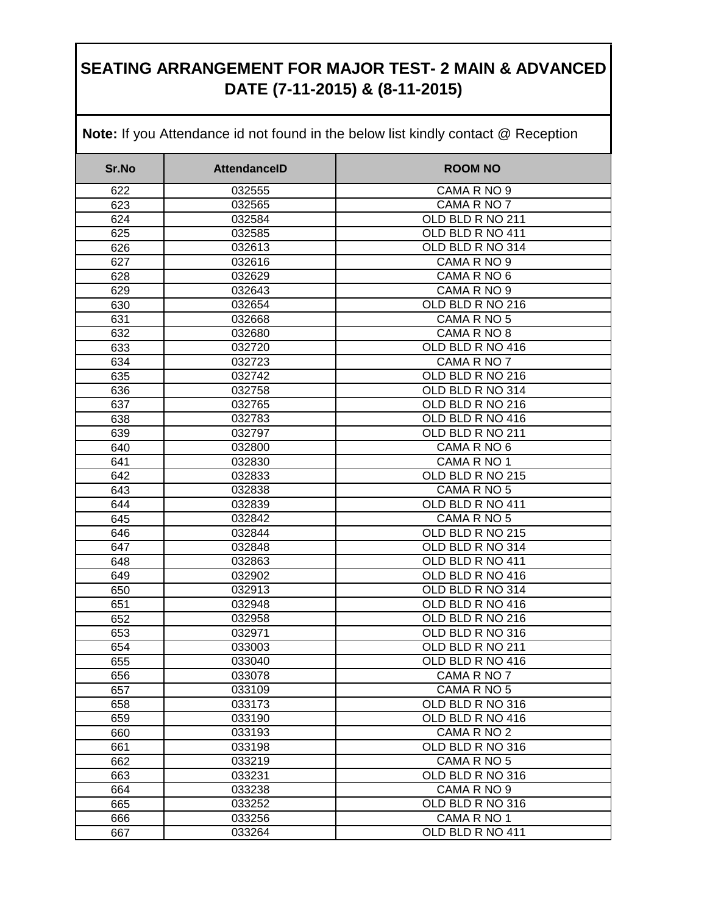| Sr.No | <b>AttendanceID</b> | <b>ROOM NO</b>   |
|-------|---------------------|------------------|
|       |                     |                  |
| 622   | 032555              | CAMA R NO 9      |
| 623   | 032565              | CAMA R NO 7      |
| 624   | 032584              | OLD BLD R NO 211 |
| 625   | 032585              | OLD BLD R NO 411 |
| 626   | 032613              | OLD BLD R NO 314 |
| 627   | 032616              | CAMA R NO 9      |
| 628   | 032629              | CAMA R NO 6      |
| 629   | 032643              | CAMA R NO 9      |
| 630   | 032654              | OLD BLD R NO 216 |
| 631   | 032668              | CAMA R NO 5      |
| 632   | 032680              | CAMA R NO 8      |
| 633   | 032720              | OLD BLD R NO 416 |
| 634   | 032723              | CAMA R NO 7      |
| 635   | 032742              | OLD BLD R NO 216 |
| 636   | 032758              | OLD BLD R NO 314 |
| 637   | 032765              | OLD BLD R NO 216 |
| 638   | 032783              | OLD BLD R NO 416 |
| 639   | 032797              | OLD BLD R NO 211 |
| 640   | 032800              | CAMA R NO 6      |
| 641   | 032830              | CAMA R NO 1      |
| 642   | 032833              | OLD BLD R NO 215 |
| 643   | 032838              | CAMA R NO 5      |
| 644   | 032839              | OLD BLD R NO 411 |
| 645   | 032842              | CAMA R NO 5      |
| 646   | 032844              | OLD BLD R NO 215 |
| 647   | 032848              | OLD BLD R NO 314 |
| 648   | 032863              | OLD BLD R NO 411 |
| 649   | 032902              | OLD BLD R NO 416 |
| 650   | 032913              | OLD BLD R NO 314 |
| 651   | 032948              | OLD BLD R NO 416 |
| 652   | 032958              | OLD BLD R NO 216 |
| 653   | 032971              | OLD BLD R NO 316 |
| 654   | 033003              | OLD BLD R NO 211 |
| 655   | 033040              | OLD BLD R NO 416 |
| 656   | 033078              | CAMA R NO 7      |
| 657   | 033109              | CAMA R NO 5      |
| 658   | 033173              | OLD BLD R NO 316 |
| 659   | 033190              | OLD BLD R NO 416 |
| 660   | 033193              | CAMA R NO 2      |
| 661   | 033198              | OLD BLD R NO 316 |
| 662   | 033219              | CAMA R NO 5      |
| 663   | 033231              | OLD BLD R NO 316 |
| 664   | 033238              | CAMA R NO 9      |
| 665   | 033252              | OLD BLD R NO 316 |
| 666   | 033256              | CAMA R NO 1      |
| 667   | 033264              | OLD BLD R NO 411 |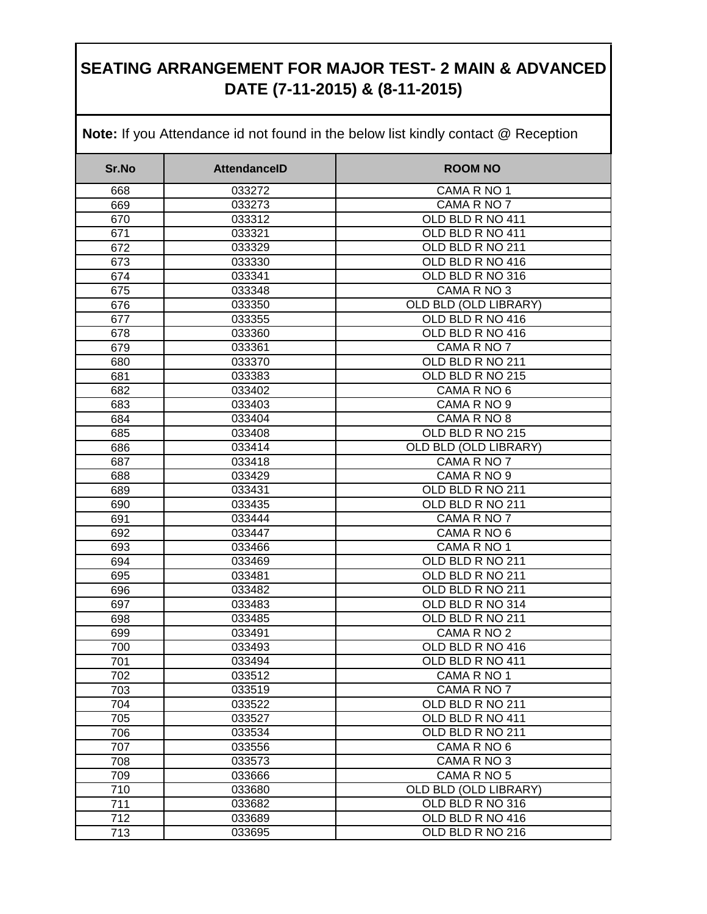|       | <b>Note:</b> If you Attendance id not found in the below list kindly contact @ Reception |                              |
|-------|------------------------------------------------------------------------------------------|------------------------------|
| Sr.No | <b>AttendanceID</b>                                                                      | <b>ROOM NO</b>               |
| 668   | 033272                                                                                   | CAMA R NO 1                  |
| 669   | 033273                                                                                   | CAMA R NO 7                  |
| 670   | 033312                                                                                   | OLD BLD R NO 411             |
| 671   | 033321                                                                                   | OLD BLD R NO 411             |
| 672   | 033329                                                                                   | OLD BLD R NO 211             |
| 673   | 033330                                                                                   | OLD BLD R NO 416             |
| 674   | 033341                                                                                   | OLD BLD R NO 316             |
| 675   | 033348                                                                                   | CAMA R NO 3                  |
| 676   | 033350                                                                                   | OLD BLD (OLD LIBRARY)        |
| 677   | 033355                                                                                   | OLD BLD R NO 416             |
| 678   | 033360                                                                                   | OLD BLD R NO 416             |
| 679   | 033361                                                                                   | CAMA R NO 7                  |
| 680   | 033370                                                                                   | OLD BLD R NO 211             |
| 681   | 033383                                                                                   | OLD BLD R NO 215             |
| 682   | 033402                                                                                   | CAMA R NO 6                  |
| 683   | 033403                                                                                   | CAMA R NO 9                  |
| 684   | 033404                                                                                   | CAMA R NO 8                  |
| 685   | 033408                                                                                   | OLD BLD R NO 215             |
| 686   | 033414                                                                                   | OLD BLD (OLD LIBRARY)        |
| 687   | 033418                                                                                   | CAMA R NO 7                  |
| 688   | 033429                                                                                   | CAMA R NO 9                  |
| 689   | 033431                                                                                   | OLD BLD R NO 211             |
| 690   | 033435                                                                                   | OLD BLD R NO 211             |
| 691   | 033444                                                                                   | CAMA R NO 7                  |
| 692   | 033447                                                                                   | CAMA R NO 6                  |
| 693   | 033466                                                                                   | CAMA R NO 1                  |
| 694   | 033469                                                                                   | OLD BLD R NO 211             |
| 695   | 033481                                                                                   | OLD BLD R NO 211             |
| 696   | 033482                                                                                   | OLD BLD R NO 211             |
| 697   | 033483                                                                                   | OLD BLD R NO 314             |
| 698   | 033485                                                                                   | OLD BLD R NO 211             |
| 699   | 033491                                                                                   | CAMA R NO 2                  |
| 700   | 033493                                                                                   | OLD BLD R NO 416             |
| 701   | 033494                                                                                   | OLD BLD R NO 411             |
| 702   | 033512                                                                                   | CAMA R NO 1                  |
| 703   | 033519                                                                                   | CAMA R NO 7                  |
| 704   | 033522                                                                                   | OLD BLD R NO 211             |
| 705   | 033527                                                                                   | OLD BLD R NO 411             |
| 706   | 033534                                                                                   | OLD BLD R NO 211             |
| 707   | 033556                                                                                   | CAMA R NO 6                  |
| 708   | 033573                                                                                   | CAMA R NO 3                  |
| 709   | 033666                                                                                   | CAMA R NO 5                  |
| 710   | 033680                                                                                   | <b>OLD BLD (OLD LIBRARY)</b> |
| 711   | 033682                                                                                   | OLD BLD R NO 316             |
| 712   | 033689                                                                                   | OLD BLD R NO 416             |
| 713   | 033695                                                                                   | OLD BLD R NO 216             |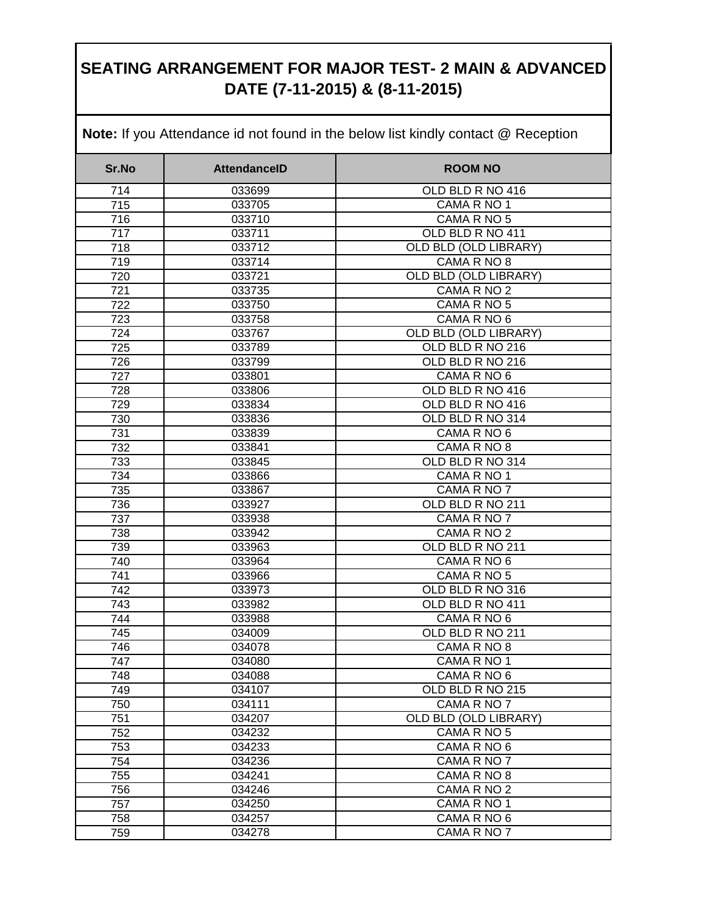| Sr.No            | <b>AttendanceID</b> | <b>ROOM NO</b>               |
|------------------|---------------------|------------------------------|
| 714              | 033699              | OLD BLD R NO 416             |
| $\overline{715}$ | 033705              | CAMA R NO 1                  |
| 716              | 033710              | CAMA R NO 5                  |
| 717              | 033711              | OLD BLD R NO 411             |
| 718              | 033712              | <b>OLD BLD (OLD LIBRARY)</b> |
| 719              | 033714              | CAMA R NO 8                  |
| 720              | 033721              | <b>OLD BLD (OLD LIBRARY)</b> |
| 721              | 033735              | CAMA R NO 2                  |
| 722              | 033750              | CAMA R NO 5                  |
| 723              | 033758              | CAMA R NO 6                  |
| 724              | 033767              | OLD BLD (OLD LIBRARY)        |
| 725              | 033789              | OLD BLD R NO 216             |
| 726              | 033799              | OLD BLD R NO 216             |
| 727              | 033801              | CAMA R NO 6                  |
| 728              | 033806              | OLD BLD R NO 416             |
| 729              | 033834              | OLD BLD R NO 416             |
| 730              | 033836              | OLD BLD R NO 314             |
| 731              | 033839              | CAMA R NO 6                  |
| 732              | 033841              | CAMA R NO 8                  |
| 733              | 033845              | OLD BLD R NO 314             |
| 734              | 033866              | CAMA R NO 1                  |
| 735              | 033867              | CAMA R NO 7                  |
| 736              | 033927              | OLD BLD R NO 211             |
| 737              | 033938              | CAMA R NO 7                  |
| 738              | 033942              | CAMA R NO 2                  |
| 739              | 033963              | OLD BLD R NO 211             |
| 740              | 033964              | CAMA R NO 6                  |
| 741              | 033966              | CAMA R NO 5                  |
| 742              | 033973              | OLD BLD R NO 316             |
| 743              | 033982              | OLD BLD R NO 411             |
| 744              | 033988              | CAMA R NO 6                  |
| 745              | 034009              | OLD BLD R NO 211             |
| 746              | 034078              | CAMA R NO 8                  |
| 747              | 034080              | CAMA R NO 1                  |
| 748              | 034088              | CAMA R NO 6                  |
| 749              | 034107              | OLD BLD R NO 215             |
| 750              | 034111              | CAMA R NO 7                  |
| 751              | 034207              | OLD BLD (OLD LIBRARY)        |
| 752              | 034232              | CAMA R NO 5                  |
| 753              | 034233              | CAMA R NO 6                  |
| 754              | 034236              | CAMA R NO 7                  |
| 755              | 034241              | CAMA R NO 8                  |
| 756              | 034246              | CAMA R NO 2                  |
| 757              | 034250              | CAMA R NO 1                  |
| 758              | 034257              | CAMA R NO 6                  |
| 759              | 034278              | CAMA R NO 7                  |